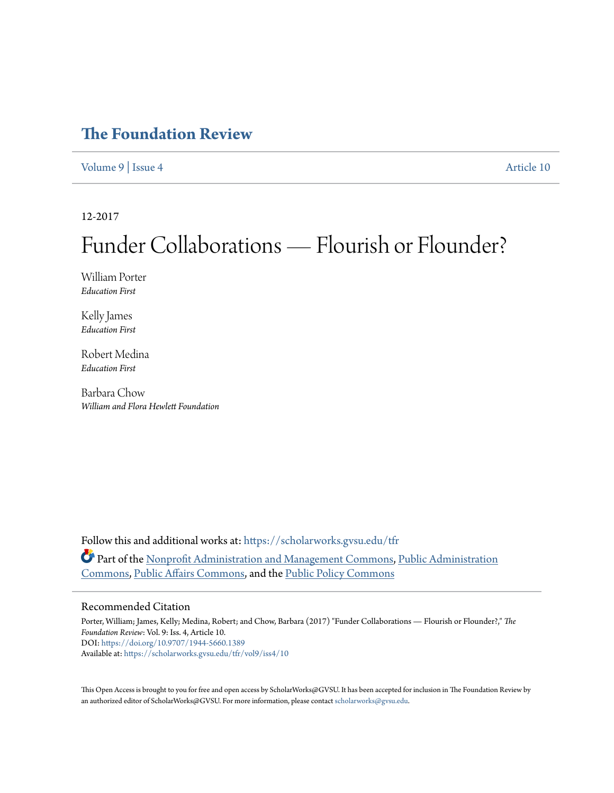# **[The Foundation Review](https://scholarworks.gvsu.edu/tfr?utm_source=scholarworks.gvsu.edu%2Ftfr%2Fvol9%2Fiss4%2F10&utm_medium=PDF&utm_campaign=PDFCoverPages)**

[Volume 9](https://scholarworks.gvsu.edu/tfr/vol9?utm_source=scholarworks.gvsu.edu%2Ftfr%2Fvol9%2Fiss4%2F10&utm_medium=PDF&utm_campaign=PDFCoverPages) | [Issue 4](https://scholarworks.gvsu.edu/tfr/vol9/iss4?utm_source=scholarworks.gvsu.edu%2Ftfr%2Fvol9%2Fiss4%2F10&utm_medium=PDF&utm_campaign=PDFCoverPages) [Article 10](https://scholarworks.gvsu.edu/tfr/vol9/iss4/10?utm_source=scholarworks.gvsu.edu%2Ftfr%2Fvol9%2Fiss4%2F10&utm_medium=PDF&utm_campaign=PDFCoverPages)

12-2017

# Funder Collaborations — Flourish or Flounder?

William Porter *Education First*

Kelly James *Education First*

Robert Medina *Education First*

Barbara Chow *William and Flora Hewlett Foundation*

Follow this and additional works at: [https://scholarworks.gvsu.edu/tfr](https://scholarworks.gvsu.edu/tfr?utm_source=scholarworks.gvsu.edu%2Ftfr%2Fvol9%2Fiss4%2F10&utm_medium=PDF&utm_campaign=PDFCoverPages) Part of the [Nonprofit Administration and Management Commons](http://network.bepress.com/hgg/discipline/1228?utm_source=scholarworks.gvsu.edu%2Ftfr%2Fvol9%2Fiss4%2F10&utm_medium=PDF&utm_campaign=PDFCoverPages), [Public Administration](http://network.bepress.com/hgg/discipline/398?utm_source=scholarworks.gvsu.edu%2Ftfr%2Fvol9%2Fiss4%2F10&utm_medium=PDF&utm_campaign=PDFCoverPages) [Commons,](http://network.bepress.com/hgg/discipline/398?utm_source=scholarworks.gvsu.edu%2Ftfr%2Fvol9%2Fiss4%2F10&utm_medium=PDF&utm_campaign=PDFCoverPages) [Public Affairs Commons,](http://network.bepress.com/hgg/discipline/399?utm_source=scholarworks.gvsu.edu%2Ftfr%2Fvol9%2Fiss4%2F10&utm_medium=PDF&utm_campaign=PDFCoverPages) and the [Public Policy Commons](http://network.bepress.com/hgg/discipline/400?utm_source=scholarworks.gvsu.edu%2Ftfr%2Fvol9%2Fiss4%2F10&utm_medium=PDF&utm_campaign=PDFCoverPages)

#### Recommended Citation

Porter, William; James, Kelly; Medina, Robert; and Chow, Barbara (2017) "Funder Collaborations — Flourish or Flounder?," *The Foundation Review*: Vol. 9: Iss. 4, Article 10. DOI: <https://doi.org/10.9707/1944-5660.1389> Available at: [https://scholarworks.gvsu.edu/tfr/vol9/iss4/10](https://scholarworks.gvsu.edu/tfr/vol9/iss4/10?utm_source=scholarworks.gvsu.edu%2Ftfr%2Fvol9%2Fiss4%2F10&utm_medium=PDF&utm_campaign=PDFCoverPages)

This Open Access is brought to you for free and open access by ScholarWorks@GVSU. It has been accepted for inclusion in The Foundation Review by an authorized editor of ScholarWorks@GVSU. For more information, please contact [scholarworks@gvsu.edu](mailto:scholarworks@gvsu.edu).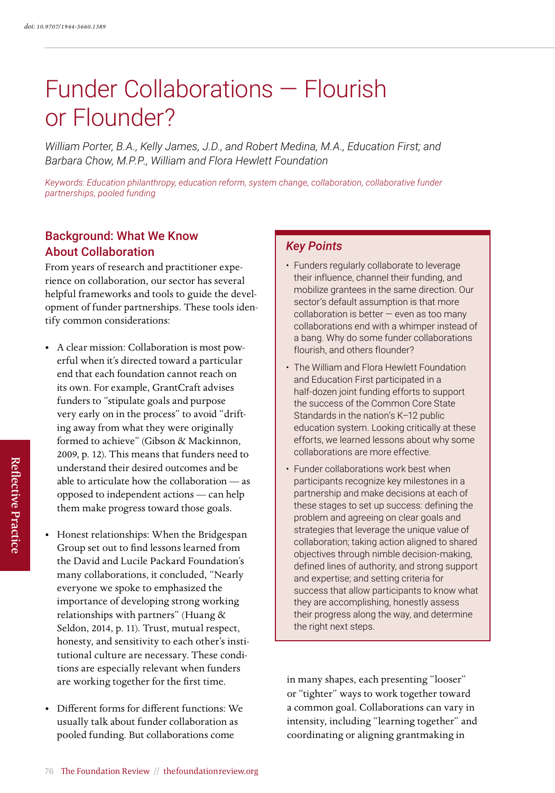# Funder Collaborations — Flourish or Flounder?

*William Porter, B.A., Kelly James, J.D., and Robert Medina, M.A., Education First; and Barbara Chow, M.P.P., William and Flora Hewlett Foundation*

*Keywords: Education philanthropy, education reform, system change, collaboration, collaborative funder partnerships, pooled funding*

### Background: What We Know About Collaboration

From years of research and practitioner experience on collaboration, our sector has several helpful frameworks and tools to guide the development of funder partnerships. These tools identify common considerations:

- A clear mission: Collaboration is most powerful when it's directed toward a particular end that each foundation cannot reach on its own. For example, GrantCraft advises funders to "stipulate goals and purpose very early on in the process" to avoid "drifting away from what they were originally formed to achieve" (Gibson & Mackinnon, 2009, p. 12). This means that funders need to understand their desired outcomes and be able to articulate how the collaboration — as opposed to independent actions — can help them make progress toward those goals.
- Honest relationships: When the Bridgespan Group set out to find lessons learned from the David and Lucile Packard Foundation's many collaborations, it concluded, "Nearly everyone we spoke to emphasized the importance of developing strong working relationships with partners" (Huang & Seldon, 2014, p. 11). Trust, mutual respect, honesty, and sensitivity to each other's institutional culture are necessary. These conditions are especially relevant when funders are working together for the first time.
- Different forms for different functions: We usually talk about funder collaboration as pooled funding. But collaborations come

#### *Key Points*

- Funders regularly collaborate to leverage their influence, channel their funding, and mobilize grantees in the same direction. Our sector's default assumption is that more collaboration is better  $-$  even as too many collaborations end with a whimper instead of a bang. Why do some funder collaborations flourish, and others flounder?
- The William and Flora Hewlett Foundation and Education First participated in a half-dozen joint funding efforts to support the success of the Common Core State Standards in the nation's K–12 public education system. Looking critically at these efforts, we learned lessons about why some collaborations are more effective.
- Funder collaborations work best when participants recognize key milestones in a partnership and make decisions at each of these stages to set up success: defining the problem and agreeing on clear goals and strategies that leverage the unique value of collaboration; taking action aligned to shared objectives through nimble decision-making, defined lines of authority, and strong support and expertise; and setting criteria for success that allow participants to know what they are accomplishing, honestly assess their progress along the way, and determine the right next steps.

in many shapes, each presenting "looser" or "tighter" ways to work together toward a common goal. Collaborations can vary in intensity, including "learning together" and coordinating or aligning grantmaking in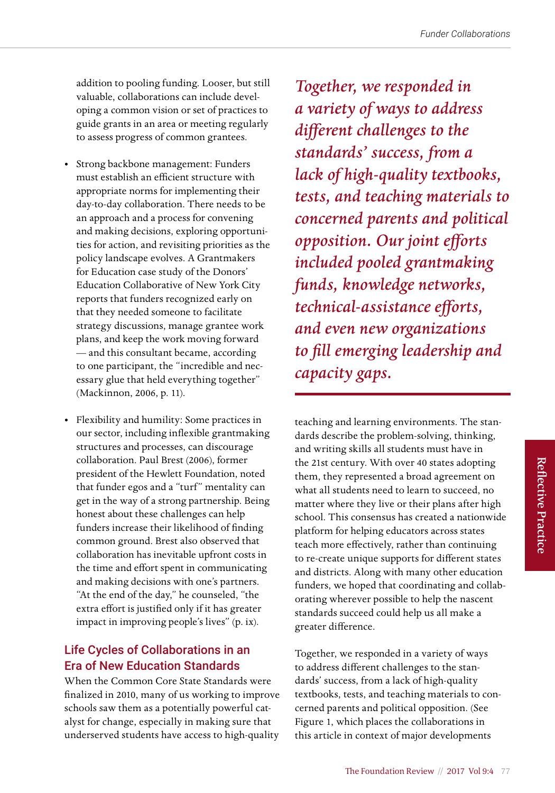addition to pooling funding. Looser, but still valuable, collaborations can include developing a common vision or set of practices to guide grants in an area or meeting regularly to assess progress of common grantees.

- Strong backbone management: Funders must establish an efficient structure with appropriate norms for implementing their day-to-day collaboration. There needs to be an approach and a process for convening and making decisions, exploring opportunities for action, and revisiting priorities as the policy landscape evolves. A Grantmakers for Education case study of the Donors' Education Collaborative of New York City reports that funders recognized early on that they needed someone to facilitate strategy discussions, manage grantee work plans, and keep the work moving forward — and this consultant became, according to one participant, the "incredible and necessary glue that held everything together" (Mackinnon, 2006, p. 11).
- Flexibility and humility: Some practices in our sector, including inflexible grantmaking structures and processes, can discourage collaboration. Paul Brest (2006), former president of the Hewlett Foundation, noted that funder egos and a "turf" mentality can get in the way of a strong partnership. Being honest about these challenges can help funders increase their likelihood of finding common ground. Brest also observed that collaboration has inevitable upfront costs in the time and effort spent in communicating and making decisions with one's partners. "At the end of the day," he counseled, "the extra effort is justified only if it has greater impact in improving people's lives" (p. ix).

# Life Cycles of Collaborations in an Era of New Education Standards

When the Common Core State Standards were finalized in 2010, many of us working to improve schools saw them as a potentially powerful catalyst for change, especially in making sure that underserved students have access to high-quality

*Together, we responded in a variety of ways to address different challenges to the standards' success, from a lack of high-quality textbooks, tests, and teaching materials to concerned parents and political opposition. Our joint efforts included pooled grantmaking funds, knowledge networks, technical-assistance efforts, and even new organizations to fill emerging leadership and capacity gaps.*

teaching and learning environments. The standards describe the problem-solving, thinking, and writing skills all students must have in the 21st century. With over 40 states adopting them, they represented a broad agreement on what all students need to learn to succeed, no matter where they live or their plans after high school. This consensus has created a nationwide platform for helping educators across states teach more effectively, rather than continuing to re-create unique supports for different states and districts. Along with many other education funders, we hoped that coordinating and collaborating wherever possible to help the nascent standards succeed could help us all make a greater difference.

Together, we responded in a variety of ways to address different challenges to the standards' success, from a lack of high-quality textbooks, tests, and teaching materials to concerned parents and political opposition. (See Figure 1, which places the collaborations in this article in context of major developments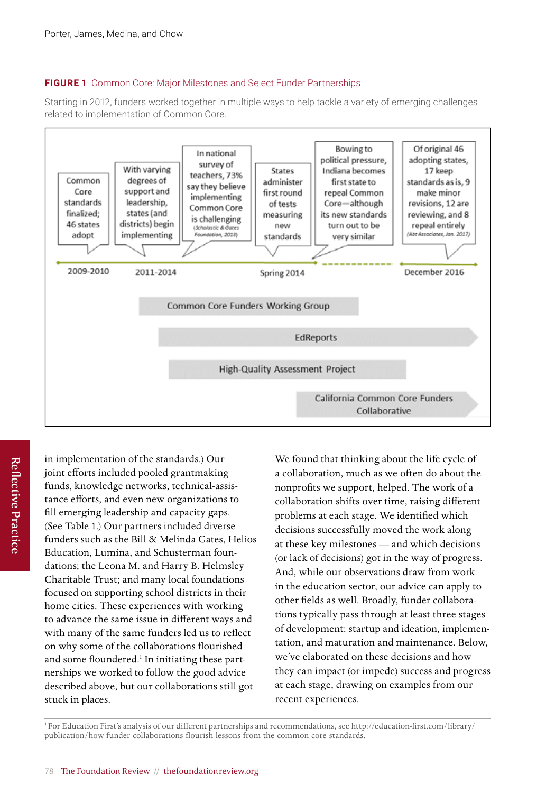#### **FIGURE 1** Common Core: Major Milestones and Select Funder Partnerships

Starting in 2012, funders worked together in multiple ways to help tackle a variety of emerging challenges Starting in 2012, funders worked together in multiple ways to help tackle a variety of emerging related to implementation of Common Core. starting in 2012, funders worked together in multiple ways



**Reflective Practice** Reflective Practice in implementation of the standards.) Our joint efforts included pooled grantmaking funds, knowledge networks, technical-assistance efforts, and even new organizations to fill emerging leadership and capacity gaps. (See Table 1.) Our partners included diverse funders such as the Bill & Melinda Gates, Helios Education, Lumina, and Schusterman foundations; the Leona M. and Harry B. Helmsley Charitable Trust; and many local foundations focused on supporting school districts in their home cities. These experiences with working to advance the same issue in different ways and with many of the same funders led us to reflect on why some of the collaborations flourished and some floundered.<sup>1</sup> In initiating these partnerships we worked to follow the good advice described above, but our collaborations still got stuck in places.

We found that thinking about the life cycle of a collaboration, much as we often do about the nonprofits we support, helped. The work of a collaboration shifts over time, raising different problems at each stage. We identified which decisions successfully moved the work along at these key milestones — and which decisions (or lack of decisions) got in the way of progress. And, while our observations draw from work in the education sector, our advice can apply to other fields as well. Broadly, funder collaborations typically pass through at least three stages of development: startup and ideation, implementation, and maturation and maintenance. Below, we've elaborated on these decisions and how they can impact (or impede) success and progress at each stage, drawing on examples from our recent experiences.

1 For Education First's analysis of our different partnerships and recommendations, see [http://education-first.com/library/](http://education-first.com/library/publication/how-funder-collaborations-flourish-lessons-from-the-common-core-standards) [publication/how-funder-collaborations-flourish-lessons-from-the-common-core-standards](http://education-first.com/library/publication/how-funder-collaborations-flourish-lessons-from-the-common-core-standards).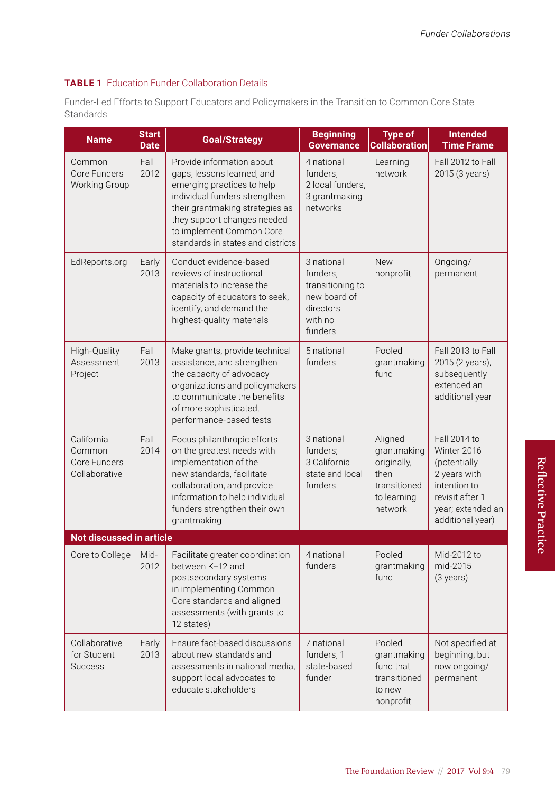#### **TABLE 1** Education Funder Collaboration Details

Funder-Led Efforts to Support Educators and Policymakers in the Transition to Common Core State Standards

| <b>Name</b>                                           | <b>Start</b><br><b>Date</b> | <b>Goal/Strategy</b>                                                                                                                                                                                                                                      | <b>Beginning</b><br><b>Governance</b>                                                         | <b>Type of</b><br><b>Collaboration</b>                                                  | <b>Intended</b><br><b>Time Frame</b>                                                                                                    |
|-------------------------------------------------------|-----------------------------|-----------------------------------------------------------------------------------------------------------------------------------------------------------------------------------------------------------------------------------------------------------|-----------------------------------------------------------------------------------------------|-----------------------------------------------------------------------------------------|-----------------------------------------------------------------------------------------------------------------------------------------|
| Common<br>Core Funders<br>Working Group               | Fall<br>2012                | Provide information about<br>gaps, lessons learned, and<br>emerging practices to help<br>individual funders strengthen<br>their grantmaking strategies as<br>they support changes needed<br>to implement Common Core<br>standards in states and districts | 4 national<br>funders,<br>2 local funders,<br>3 grantmaking<br>networks                       | Learning<br>network                                                                     | Fall 2012 to Fall<br>2015 (3 years)                                                                                                     |
| EdReports.org                                         | Early<br>2013               | Conduct evidence-based<br>reviews of instructional<br>materials to increase the<br>capacity of educators to seek,<br>identify, and demand the<br>highest-quality materials                                                                                | 3 national<br>funders,<br>transitioning to<br>new board of<br>directors<br>with no<br>funders | <b>New</b><br>nonprofit                                                                 | Ongoing/<br>permanent                                                                                                                   |
| High-Quality<br>Assessment<br>Project                 | Fall<br>2013                | Make grants, provide technical<br>assistance, and strengthen<br>the capacity of advocacy<br>organizations and policymakers<br>to communicate the benefits<br>of more sophisticated,<br>performance-based tests                                            | 5 national<br>funders                                                                         | Pooled<br>grantmaking<br>fund                                                           | Fall 2013 to Fall<br>2015 (2 years),<br>subsequently<br>extended an<br>additional year                                                  |
| California<br>Common<br>Core Funders<br>Collaborative | Fall<br>2014                | Focus philanthropic efforts<br>on the greatest needs with<br>implementation of the<br>new standards, facilitate<br>collaboration, and provide<br>information to help individual<br>funders strengthen their own<br>grantmaking                            | 3 national<br>funders;<br>3 California<br>state and local<br>funders                          | Aligned<br>grantmaking<br>originally,<br>then<br>transitioned<br>to learning<br>network | Fall 2014 to<br>Winter 2016<br>(potentially<br>2 years with<br>intention to<br>revisit after 1<br>year; extended an<br>additional year) |
| <b>Not discussed in article</b>                       |                             |                                                                                                                                                                                                                                                           |                                                                                               |                                                                                         |                                                                                                                                         |
| Core to College                                       | Mid-<br>2012                | Facilitate greater coordination<br>between K-12 and<br>postsecondary systems<br>in implementing Common<br>Core standards and aligned<br>assessments (with grants to<br>12 states)                                                                         | 4 national<br>funders                                                                         | Pooled<br>grantmaking<br>fund                                                           | Mid-2012 to<br>mid-2015<br>(3 years)                                                                                                    |
| Collaborative<br>for Student<br><b>Success</b>        | Early<br>2013               | Ensure fact-based discussions<br>about new standards and<br>assessments in national media,<br>support local advocates to<br>educate stakeholders                                                                                                          | 7 national<br>funders, 1<br>state-based<br>funder                                             | Pooled<br>grantmaking<br>fund that<br>transitioned<br>to new<br>nonprofit               | Not specified at<br>beginning, but<br>now ongoing/<br>permanent                                                                         |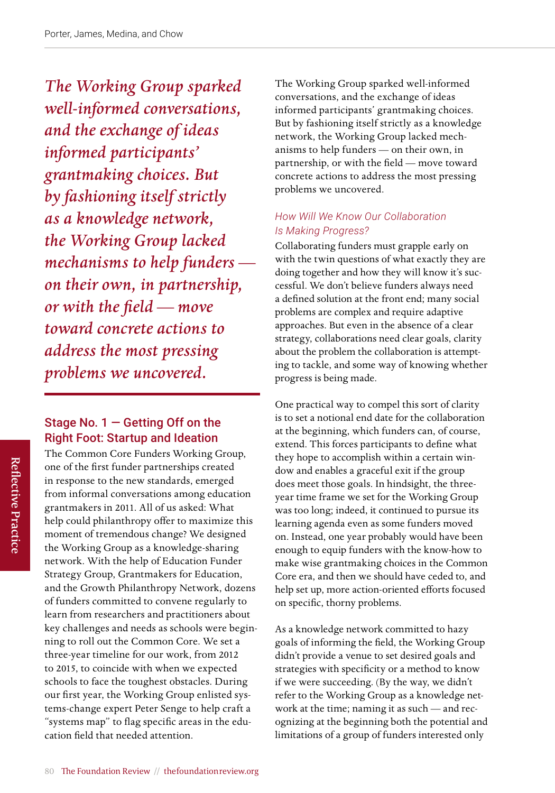*The Working Group sparked well-informed conversations, and the exchange of ideas informed participants' grantmaking choices. But by fashioning itself strictly as a knowledge network, the Working Group lacked mechanisms to help funders on their own, in partnership, or with the field — move toward concrete actions to address the most pressing problems we uncovered.* 

# Stage No.  $1 -$  Getting Off on the Right Foot: Startup and Ideation

The Common Core Funders Working Group, one of the first funder partnerships created in response to the new standards, emerged from informal conversations among education grantmakers in 2011. All of us asked: What help could philanthropy offer to maximize this moment of tremendous change? We designed the Working Group as a knowledge-sharing network. With the help of Education Funder Strategy Group, Grantmakers for Education, and the Growth Philanthropy Network, dozens of funders committed to convene regularly to learn from researchers and practitioners about key challenges and needs as schools were beginning to roll out the Common Core. We set a three-year timeline for our work, from 2012 to 2015, to coincide with when we expected schools to face the toughest obstacles. During our first year, the Working Group enlisted systems-change expert Peter Senge to help craft a "systems map" to flag specific areas in the education field that needed attention.

The Working Group sparked well-informed conversations, and the exchange of ideas informed participants' grantmaking choices. But by fashioning itself strictly as a knowledge network, the Working Group lacked mechanisms to help funders — on their own, in partnership, or with the field — move toward concrete actions to address the most pressing problems we uncovered.

#### *How Will We Know Our Collaboration Is Making Progress?*

Collaborating funders must grapple early on with the twin questions of what exactly they are doing together and how they will know it's successful. We don't believe funders always need a defined solution at the front end; many social problems are complex and require adaptive approaches. But even in the absence of a clear strategy, collaborations need clear goals, clarity about the problem the collaboration is attempting to tackle, and some way of knowing whether progress is being made.

One practical way to compel this sort of clarity is to set a notional end date for the collaboration at the beginning, which funders can, of course, extend. This forces participants to define what they hope to accomplish within a certain window and enables a graceful exit if the group does meet those goals. In hindsight, the threeyear time frame we set for the Working Group was too long; indeed, it continued to pursue its learning agenda even as some funders moved on. Instead, one year probably would have been enough to equip funders with the know-how to make wise grantmaking choices in the Common Core era, and then we should have ceded to, and help set up, more action-oriented efforts focused on specific, thorny problems.

As a knowledge network committed to hazy goals of informing the field, the Working Group didn't provide a venue to set desired goals and strategies with specificity or a method to know if we were succeeding. (By the way, we didn't refer to the Working Group as a knowledge network at the time; naming it as such — and recognizing at the beginning both the potential and limitations of a group of funders interested only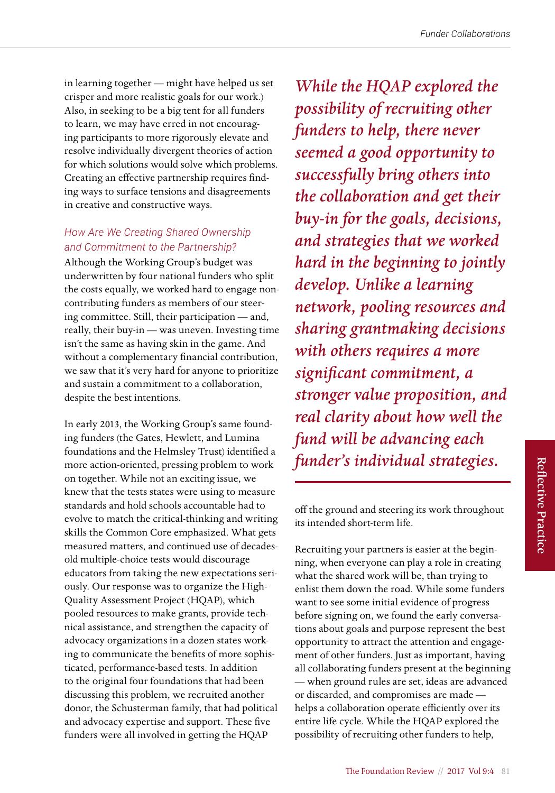in learning together — might have helped us set crisper and more realistic goals for our work.) Also, in seeking to be a big tent for all funders to learn, we may have erred in not encouraging participants to more rigorously elevate and resolve individually divergent theories of action for which solutions would solve which problems. Creating an effective partnership requires finding ways to surface tensions and disagreements in creative and constructive ways.

#### *How Are We Creating Shared Ownership and Commitment to the Partnership?*

Although the Working Group's budget was underwritten by four national funders who split the costs equally, we worked hard to engage noncontributing funders as members of our steering committee. Still, their participation — and, really, their buy-in — was uneven. Investing time isn't the same as having skin in the game. And without a complementary financial contribution, we saw that it's very hard for anyone to prioritize and sustain a commitment to a collaboration, despite the best intentions.

In early 2013, the Working Group's same founding funders (the Gates, Hewlett, and Lumina foundations and the Helmsley Trust) identified a more action-oriented, pressing problem to work on together. While not an exciting issue, we knew that the tests states were using to measure standards and hold schools accountable had to evolve to match the critical-thinking and writing skills the Common Core emphasized. What gets measured matters, and continued use of decadesold multiple-choice tests would discourage educators from taking the new expectations seriously. Our response was to organize the High-Quality Assessment Project (HQAP), which pooled resources to make grants, provide technical assistance, and strengthen the capacity of advocacy organizations in a dozen states working to communicate the benefits of more sophisticated, performance-based tests. In addition to the original four foundations that had been discussing this problem, we recruited another donor, the Schusterman family, that had political and advocacy expertise and support. These five funders were all involved in getting the HQAP

*While the HQAP explored the possibility of recruiting other funders to help, there never seemed a good opportunity to successfully bring others into the collaboration and get their buy-in for the goals, decisions, and strategies that we worked hard in the beginning to jointly develop. Unlike a learning network, pooling resources and sharing grantmaking decisions with others requires a more significant commitment, a stronger value proposition, and real clarity about how well the fund will be advancing each funder's individual strategies.*

off the ground and steering its work throughout its intended short-term life.

Recruiting your partners is easier at the beginning, when everyone can play a role in creating what the shared work will be, than trying to enlist them down the road. While some funders want to see some initial evidence of progress before signing on, we found the early conversations about goals and purpose represent the best opportunity to attract the attention and engagement of other funders. Just as important, having all collaborating funders present at the beginning — when ground rules are set, ideas are advanced or discarded, and compromises are made helps a collaboration operate efficiently over its entire life cycle. While the HQAP explored the possibility of recruiting other funders to help,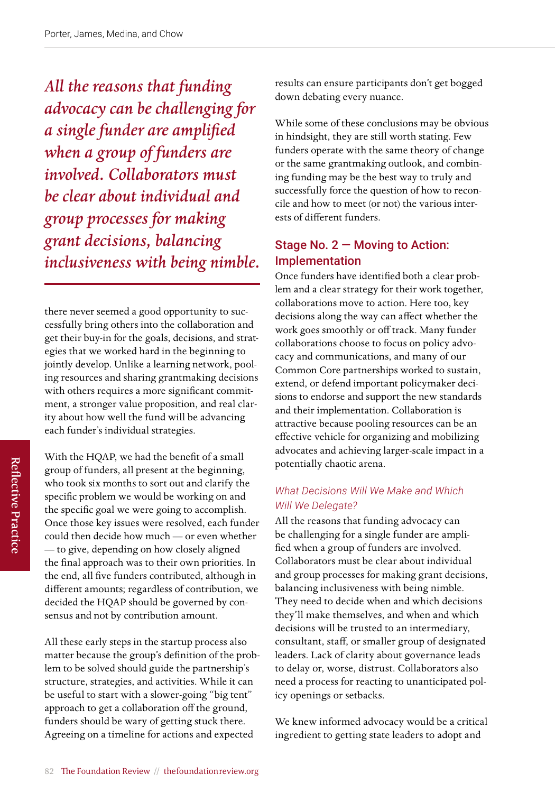*All the reasons that funding advocacy can be challenging for a single funder are amplified when a group of funders are involved. Collaborators must be clear about individual and group processes for making grant decisions, balancing inclusiveness with being nimble.* 

there never seemed a good opportunity to successfully bring others into the collaboration and get their buy-in for the goals, decisions, and strategies that we worked hard in the beginning to jointly develop. Unlike a learning network, pooling resources and sharing grantmaking decisions with others requires a more significant commitment, a stronger value proposition, and real clarity about how well the fund will be advancing each funder's individual strategies.

With the HQAP, we had the benefit of a small group of funders, all present at the beginning, who took six months to sort out and clarify the specific problem we would be working on and the specific goal we were going to accomplish. Once those key issues were resolved, each funder could then decide how much — or even whether — to give, depending on how closely aligned the final approach was to their own priorities. In the end, all five funders contributed, although in different amounts; regardless of contribution, we decided the HQAP should be governed by consensus and not by contribution amount.

All these early steps in the startup process also matter because the group's definition of the problem to be solved should guide the partnership's structure, strategies, and activities. While it can be useful to start with a slower-going "big tent" approach to get a collaboration off the ground, funders should be wary of getting stuck there. Agreeing on a timeline for actions and expected

results can ensure participants don't get bogged down debating every nuance.

While some of these conclusions may be obvious in hindsight, they are still worth stating. Few funders operate with the same theory of change or the same grantmaking outlook, and combining funding may be the best way to truly and successfully force the question of how to reconcile and how to meet (or not) the various interests of different funders.

# Stage No. 2 — Moving to Action: Implementation

Once funders have identified both a clear problem and a clear strategy for their work together, collaborations move to action. Here too, key decisions along the way can affect whether the work goes smoothly or off track. Many funder collaborations choose to focus on policy advocacy and communications, and many of our Common Core partnerships worked to sustain, extend, or defend important policymaker decisions to endorse and support the new standards and their implementation. Collaboration is attractive because pooling resources can be an effective vehicle for organizing and mobilizing advocates and achieving larger-scale impact in a potentially chaotic arena.

### *What Decisions Will We Make and Which Will We Delegate?*

All the reasons that funding advocacy can be challenging for a single funder are amplified when a group of funders are involved. Collaborators must be clear about individual and group processes for making grant decisions, balancing inclusiveness with being nimble. They need to decide when and which decisions they'll make themselves, and when and which decisions will be trusted to an intermediary, consultant, staff, or smaller group of designated leaders. Lack of clarity about governance leads to delay or, worse, distrust. Collaborators also need a process for reacting to unanticipated policy openings or setbacks.

We knew informed advocacy would be a critical ingredient to getting state leaders to adopt and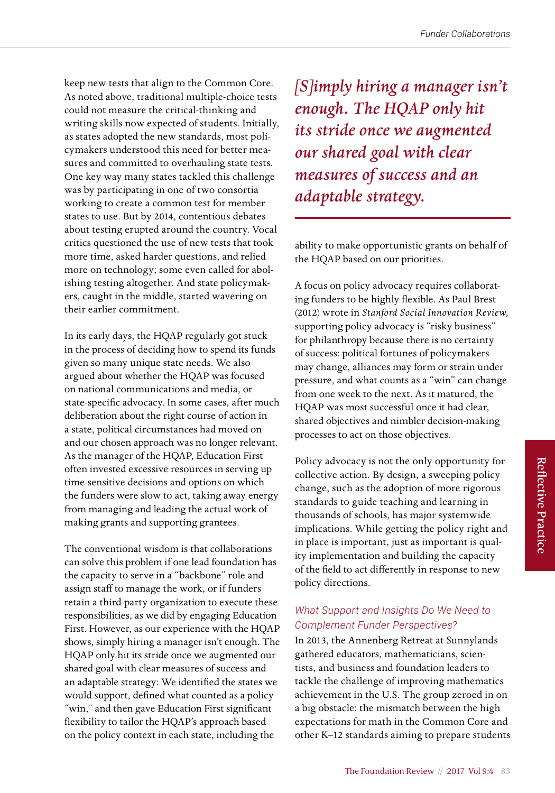keep new tests that align to the Common Core. As noted above, traditional multiple-choice tests could not measure the critical-thinking and writing skills now expected of students. Initially, as states adopted the new standards, most policymakers understood this need for better measures and committed to overhauling state tests. One key way many states tackled this challenge was by participating in one of two consortia working to create a common test for member states to use. But by 2014, contentious debates about testing erupted around the country. Vocal critics questioned the use of new tests that took more time, asked harder questions, and relied more on technology; some even called for abolishing testing altogether. And state policymakers, caught in the middle, started wavering on their earlier commitment.

In its early days, the HQAP regularly got stuck in the process of deciding how to spend its funds given so many unique state needs. We also argued about whether the HQAP was focused on national communications and media, or state-specific advocacy. In some cases, after much deliberation about the right course of action in a state, political circumstances had moved on and our chosen approach was no longer relevant. As the manager of the HQAP, Education First often invested excessive resources in serving up time-sensitive decisions and options on which the funders were slow to act, taking away energy from managing and leading the actual work of making grants and supporting grantees.

The conventional wisdom is that collaborations can solve this problem if one lead foundation has the capacity to serve in a "backbone" role and assign staff to manage the work, or if funders retain a third-party organization to execute these responsibilities, as we did by engaging Education First. However, as our experience with the HQAP shows, simply hiring a manager isn't enough. The HQAP only hit its stride once we augmented our shared goal with clear measures of success and an adaptable strategy: We identified the states we would support, defined what counted as a policy "win," and then gave Education First significant flexibility to tailor the HQAP's approach based on the policy context in each state, including the

*[S]imply hiring a manager isn't enough. The HQAP only hit its stride once we augmented our shared goal with clear measures of success and an adaptable strategy.*

ability to make opportunistic grants on behalf of the HQAP based on our priorities.

A focus on policy advocacy requires collaborating funders to be highly flexible. As Paul Brest (2012) wrote in *Stanford Social Innovation Review,* supporting policy advocacy is "risky business" for philanthropy because there is no certainty of success: political fortunes of policymakers may change, alliances may form or strain under pressure, and what counts as a "win" can change from one week to the next. As it matured, the HQAP was most successful once it had clear, shared objectives and nimbler decision-making processes to act on those objectives.

Policy advocacy is not the only opportunity for collective action. By design, a sweeping policy change, such as the adoption of more rigorous standards to guide teaching and learning in thousands of schools, has major systemwide implications. While getting the policy right and in place is important, just as important is quality implementation and building the capacity of the field to act differently in response to new policy directions.

#### *What Support and Insights Do We Need to Complement Funder Perspectives?*

In 2013, the Annenberg Retreat at Sunnylands gathered educators, mathematicians, scientists, and business and foundation leaders to tackle the challenge of improving mathematics achievement in the U.S. The group zeroed in on a big obstacle: the mismatch between the high expectations for math in the Common Core and other K–12 standards aiming to prepare students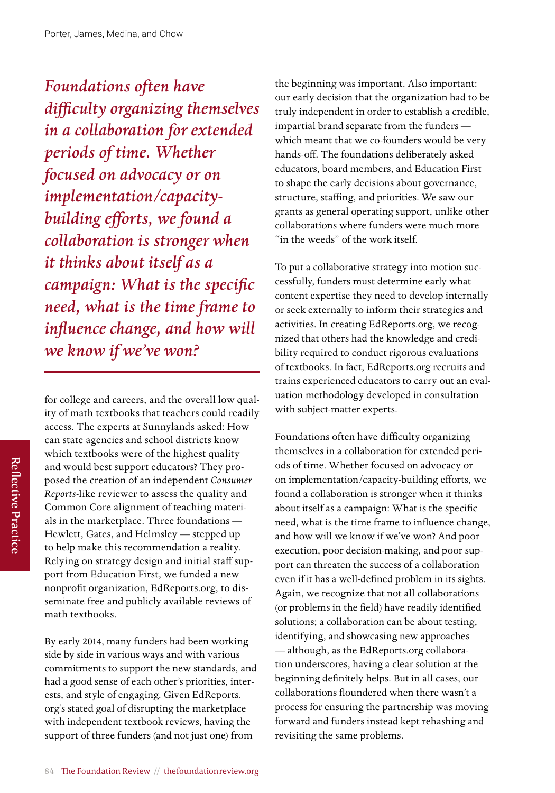*Foundations often have difficulty organizing themselves in a collaboration for extended periods of time. Whether focused on advocacy or on implementation/capacitybuilding efforts, we found a collaboration is stronger when it thinks about itself as a campaign: What is the specific need, what is the time frame to influence change, and how will we know if we've won?* 

for college and careers, and the overall low quality of math textbooks that teachers could readily access. The experts at Sunnylands asked: How can state agencies and school districts know which textbooks were of the highest quality and would best support educators? They proposed the creation of an independent *Consumer Reports-*like reviewer to assess the quality and Common Core alignment of teaching materials in the marketplace. Three foundations — Hewlett, Gates, and Helmsley — stepped up to help make this recommendation a reality. Relying on strategy design and initial staff support from Education First, we funded a new nonprofit organization, EdReports.org, to disseminate free and publicly available reviews of math textbooks.

By early 2014, many funders had been working side by side in various ways and with various commitments to support the new standards, and had a good sense of each other's priorities, interests, and style of engaging. Given EdReports. org's stated goal of disrupting the marketplace with independent textbook reviews, having the support of three funders (and not just one) from

the beginning was important. Also important: our early decision that the organization had to be truly independent in order to establish a credible, impartial brand separate from the funders which meant that we co-founders would be very hands-off. The foundations deliberately asked educators, board members, and Education First to shape the early decisions about governance, structure, staffing, and priorities. We saw our grants as general operating support, unlike other collaborations where funders were much more "in the weeds" of the work itself.

To put a collaborative strategy into motion successfully, funders must determine early what content expertise they need to develop internally or seek externally to inform their strategies and activities. In creating EdReports.org, we recognized that others had the knowledge and credibility required to conduct rigorous evaluations of textbooks. In fact, EdReports.org recruits and trains experienced educators to carry out an evaluation methodology developed in consultation with subject-matter experts.

Foundations often have difficulty organizing themselves in a collaboration for extended periods of time. Whether focused on advocacy or on implementation/capacity-building efforts, we found a collaboration is stronger when it thinks about itself as a campaign: What is the specific need, what is the time frame to influence change, and how will we know if we've won? And poor execution, poor decision-making, and poor support can threaten the success of a collaboration even if it has a well-defined problem in its sights. Again, we recognize that not all collaborations (or problems in the field) have readily identified solutions; a collaboration can be about testing, identifying, and showcasing new approaches — although, as the EdReports.org collaboration underscores, having a clear solution at the beginning definitely helps. But in all cases, our collaborations floundered when there wasn't a process for ensuring the partnership was moving forward and funders instead kept rehashing and revisiting the same problems.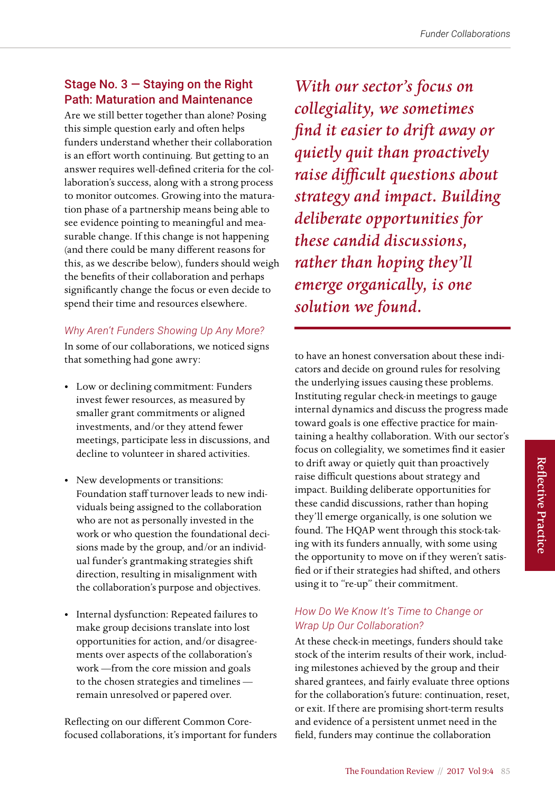# Stage No.  $3 -$  Staying on the Right Path: Maturation and Maintenance

Are we still better together than alone? Posing this simple question early and often helps funders understand whether their collaboration is an effort worth continuing. But getting to an answer requires well-defined criteria for the collaboration's success, along with a strong process to monitor outcomes. Growing into the maturation phase of a partnership means being able to see evidence pointing to meaningful and measurable change. If this change is not happening (and there could be many different reasons for this, as we describe below), funders should weigh the benefits of their collaboration and perhaps significantly change the focus or even decide to spend their time and resources elsewhere.

#### *Why Aren't Funders Showing Up Any More?*

In some of our collaborations, we noticed signs that something had gone awry:

- Low or declining commitment: Funders invest fewer resources, as measured by smaller grant commitments or aligned investments, and/or they attend fewer meetings, participate less in discussions, and decline to volunteer in shared activities.
- New developments or transitions: Foundation staff turnover leads to new individuals being assigned to the collaboration who are not as personally invested in the work or who question the foundational decisions made by the group, and/or an individual funder's grantmaking strategies shift direction, resulting in misalignment with the collaboration's purpose and objectives.
- Internal dysfunction: Repeated failures to make group decisions translate into lost opportunities for action, and/or disagreements over aspects of the collaboration's work —from the core mission and goals to the chosen strategies and timelines remain unresolved or papered over.

Reflecting on our different Common Corefocused collaborations, it's important for funders

*With our sector's focus on collegiality, we sometimes find it easier to drift away or quietly quit than proactively raise difficult questions about strategy and impact. Building deliberate opportunities for these candid discussions, rather than hoping they'll emerge organically, is one solution we found.* 

to have an honest conversation about these indicators and decide on ground rules for resolving the underlying issues causing these problems. Instituting regular check-in meetings to gauge internal dynamics and discuss the progress made toward goals is one effective practice for maintaining a healthy collaboration. With our sector's focus on collegiality, we sometimes find it easier to drift away or quietly quit than proactively raise difficult questions about strategy and impact. Building deliberate opportunities for these candid discussions, rather than hoping they'll emerge organically, is one solution we found. The HQAP went through this stock-taking with its funders annually, with some using the opportunity to move on if they weren't satisfied or if their strategies had shifted, and others using it to "re-up" their commitment.

#### *How Do We Know It's Time to Change or Wrap Up Our Collaboration?*

At these check-in meetings, funders should take stock of the interim results of their work, including milestones achieved by the group and their shared grantees, and fairly evaluate three options for the collaboration's future: continuation, reset, or exit. If there are promising short-term results and evidence of a persistent unmet need in the field, funders may continue the collaboration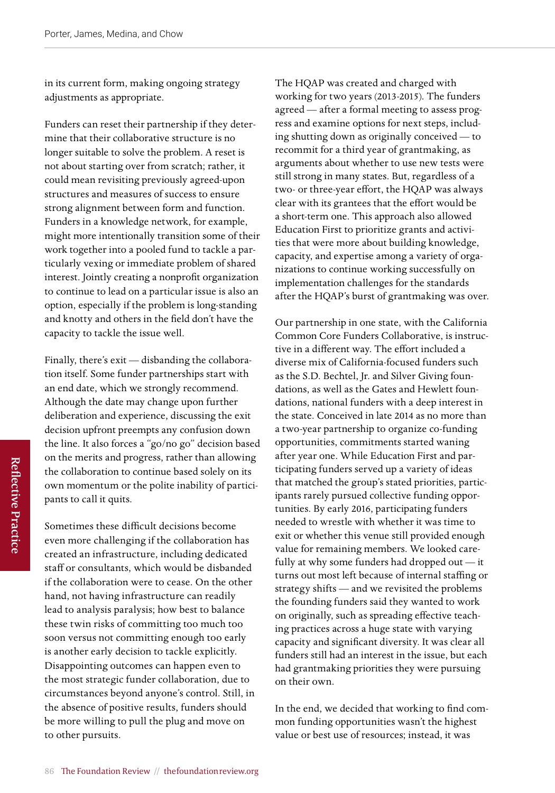in its current form, making ongoing strategy adjustments as appropriate.

Funders can reset their partnership if they determine that their collaborative structure is no longer suitable to solve the problem. A reset is not about starting over from scratch; rather, it could mean revisiting previously agreed-upon structures and measures of success to ensure strong alignment between form and function. Funders in a knowledge network, for example, might more intentionally transition some of their work together into a pooled fund to tackle a particularly vexing or immediate problem of shared interest. Jointly creating a nonprofit organization to continue to lead on a particular issue is also an option, especially if the problem is long-standing and knotty and others in the field don't have the capacity to tackle the issue well.

Finally, there's exit — disbanding the collaboration itself. Some funder partnerships start with an end date, which we strongly recommend. Although the date may change upon further deliberation and experience, discussing the exit decision upfront preempts any confusion down the line. It also forces a "go/no go" decision based on the merits and progress, rather than allowing the collaboration to continue based solely on its own momentum or the polite inability of participants to call it quits.

Sometimes these difficult decisions become even more challenging if the collaboration has created an infrastructure, including dedicated staff or consultants, which would be disbanded if the collaboration were to cease. On the other hand, not having infrastructure can readily lead to analysis paralysis; how best to balance these twin risks of committing too much too soon versus not committing enough too early is another early decision to tackle explicitly. Disappointing outcomes can happen even to the most strategic funder collaboration, due to circumstances beyond anyone's control. Still, in the absence of positive results, funders should be more willing to pull the plug and move on to other pursuits.

The HQAP was created and charged with working for two years (2013-2015). The funders agreed — after a formal meeting to assess progress and examine options for next steps, including shutting down as originally conceived — to recommit for a third year of grantmaking, as arguments about whether to use new tests were still strong in many states. But, regardless of a two- or three-year effort, the HQAP was always clear with its grantees that the effort would be a short-term one. This approach also allowed Education First to prioritize grants and activities that were more about building knowledge, capacity, and expertise among a variety of organizations to continue working successfully on implementation challenges for the standards after the HQAP's burst of grantmaking was over.

Our partnership in one state, with the California Common Core Funders Collaborative, is instructive in a different way. The effort included a diverse mix of California-focused funders such as the S.D. Bechtel, Jr. and Silver Giving foundations, as well as the Gates and Hewlett foundations, national funders with a deep interest in the state. Conceived in late 2014 as no more than a two-year partnership to organize co-funding opportunities, commitments started waning after year one. While Education First and participating funders served up a variety of ideas that matched the group's stated priorities, participants rarely pursued collective funding opportunities. By early 2016, participating funders needed to wrestle with whether it was time to exit or whether this venue still provided enough value for remaining members. We looked carefully at why some funders had dropped out — it turns out most left because of internal staffing or strategy shifts — and we revisited the problems the founding funders said they wanted to work on originally, such as spreading effective teaching practices across a huge state with varying capacity and significant diversity. It was clear all funders still had an interest in the issue, but each had grantmaking priorities they were pursuing on their own.

In the end, we decided that working to find common funding opportunities wasn't the highest value or best use of resources; instead, it was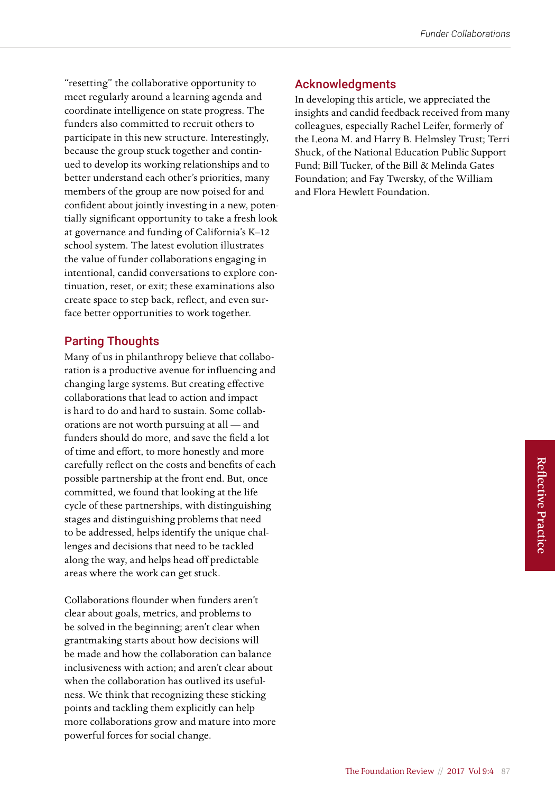"resetting" the collaborative opportunity to meet regularly around a learning agenda and coordinate intelligence on state progress. The funders also committed to recruit others to participate in this new structure. Interestingly, because the group stuck together and continued to develop its working relationships and to better understand each other's priorities, many members of the group are now poised for and confident about jointly investing in a new, potentially significant opportunity to take a fresh look at governance and funding of California's K–12 school system. The latest evolution illustrates the value of funder collaborations engaging in intentional, candid conversations to explore continuation, reset, or exit; these examinations also create space to step back, reflect, and even surface better opportunities to work together.

#### Parting Thoughts

Many of us in philanthropy believe that collaboration is a productive avenue for influencing and changing large systems. But creating effective collaborations that lead to action and impact is hard to do and hard to sustain. Some collaborations are not worth pursuing at all — and funders should do more, and save the field a lot of time and effort, to more honestly and more carefully reflect on the costs and benefits of each possible partnership at the front end. But, once committed, we found that looking at the life cycle of these partnerships, with distinguishing stages and distinguishing problems that need to be addressed, helps identify the unique challenges and decisions that need to be tackled along the way, and helps head off predictable areas where the work can get stuck.

Collaborations flounder when funders aren't clear about goals, metrics, and problems to be solved in the beginning; aren't clear when grantmaking starts about how decisions will be made and how the collaboration can balance inclusiveness with action; and aren't clear about when the collaboration has outlived its usefulness. We think that recognizing these sticking points and tackling them explicitly can help more collaborations grow and mature into more powerful forces for social change.

#### Acknowledgments

In developing this article, we appreciated the insights and candid feedback received from many colleagues, especially Rachel Leifer, formerly of the Leona M. and Harry B. Helmsley Trust; Terri Shuck, of the National Education Public Support Fund; Bill Tucker, of the Bill & Melinda Gates Foundation; and Fay Twersky, of the William and Flora Hewlett Foundation.